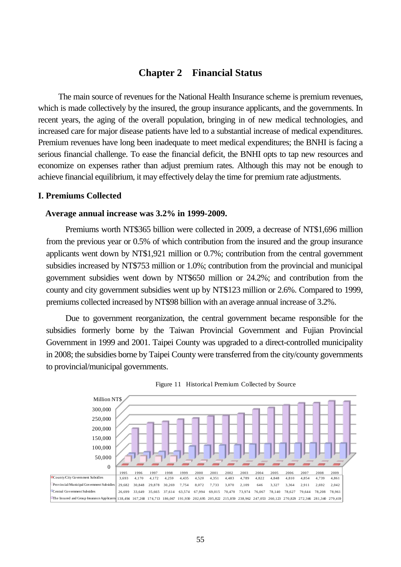# **Chapter 2 Financial Status**

The main source of revenues for the National Health Insurance scheme is premium revenues, which is made collectively by the insured, the group insurance applicants, and the governments. In recent years, the aging of the overall population, bringing in of new medical technologies, and increased care for major disease patients have led to a substantial increase of medical expenditures. Premium revenues have long been inadequate to meet medical expenditures; the BNHI is facing a serious financial challenge. To ease the financial deficit, the BNHI opts to tap new resources and economize on expenses rather than adjust premium rates. Although this may not be enough to achieve financial equilibrium, it may effectively delay the time for premium rate adjustments.

# **I. Premiums Collected**

### **Average annual increase was 3.2% in 1999-2009.**

Premiums worth NT\$365 billion were collected in 2009, a decrease of NT\$1,696 million from the previous year or 0.5% of which contribution from the insured and the group insurance applicants went down by NT\$1,921 million or 0.7%; contribution from the central government subsidies increased by NT\$753 million or 1.0%; contribution from the provincial and municipal government subsidies went down by NT\$650 million or 24.2%; and contribution from the county and city government subsidies went up by NT\$123 million or 2.6%. Compared to 1999, premiums collected increased by NT\$98 billion with an average annual increase of 3.2%.

Due to government reorganization, the central government became responsible for the subsidies formerly borne by the Taiwan Provincial Government and Fujian Provincial Government in 1999 and 2001. Taipei County was upgraded to a direct-controlled municipality in 2008; the subsidies borne by Taipei County were transferred from the city/county governments to provincial/municipal governments.



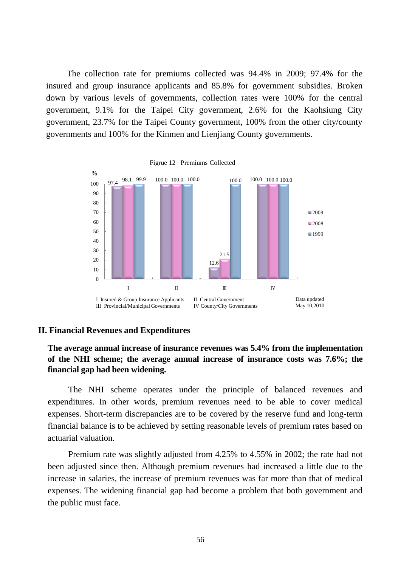The collection rate for premiums collected was 94.4% in 2009; 97.4% for the insured and group insurance applicants and 85.8% for government subsidies. Broken down by various levels of governments, collection rates were 100% for the central government, 9.1% for the Taipei City government, 2.6% for the Kaohsiung City government, 23.7% for the Taipei County government, 100% from the other city/county governments and 100% for the Kinmen and Lienjiang County governments.



# **II. Financial Revenues and Expenditures**

# **The average annual increase of insurance revenues was 5.4% from the implementation of the NHI scheme; the average annual increase of insurance costs was 7.6%; the financial gap had been widening.**

The NHI scheme operates under the principle of balanced revenues and expenditures. In other words, premium revenues need to be able to cover medical expenses. Short-term discrepancies are to be covered by the reserve fund and long-term financial balance is to be achieved by setting reasonable levels of premium rates based on actuarial valuation.

Premium rate was slightly adjusted from 4.25% to 4.55% in 2002; the rate had not been adjusted since then. Although premium revenues had increased a little due to the increase in salaries, the increase of premium revenues was far more than that of medical expenses. The widening financial gap had become a problem that both government and the public must face.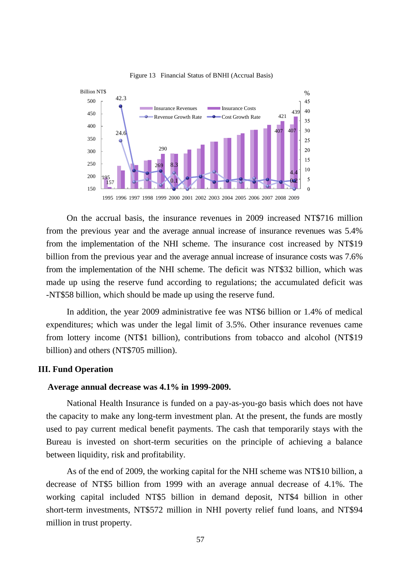

Figure 13 Financial Status of BNHI (Accrual Basis)

On the accrual basis, the insurance revenues in 2009 increased NT\$716 million from the previous year and the average annual increase of insurance revenues was 5.4% from the implementation of the NHI scheme. The insurance cost increased by NT\$19 billion from the previous year and the average annual increase of insurance costs was 7.6% from the implementation of the NHI scheme. The deficit was NT\$32 billion, which was made up using the reserve fund according to regulations; the accumulated deficit was -NT\$58 billion, which should be made up using the reserve fund.

In addition, the year 2009 administrative fee was NT\$6 billion or 1.4% of medical expenditures; which was under the legal limit of 3.5%. Other insurance revenues came from lottery income (NT\$1 billion), contributions from tobacco and alcohol (NT\$19 billion) and others (NT\$705 million).

# **III. Fund Operation**

#### **Average annual decrease was 4.1% in 1999-2009.**

National Health Insurance is funded on a pay-as-you-go basis which does not have the capacity to make any long-term investment plan. At the present, the funds are mostly used to pay current medical benefit payments. The cash that temporarily stays with the Bureau is invested on short-term securities on the principle of achieving a balance between liquidity, risk and profitability.

As of the end of 2009, the working capital for the NHI scheme was NT\$10 billion, a decrease of NT\$5 billion from 1999 with an average annual decrease of 4.1%. The working capital included NT\$5 billion in demand deposit, NT\$4 billion in other short-term investments, NT\$572 million in NHI poverty relief fund loans, and NT\$94 million in trust property.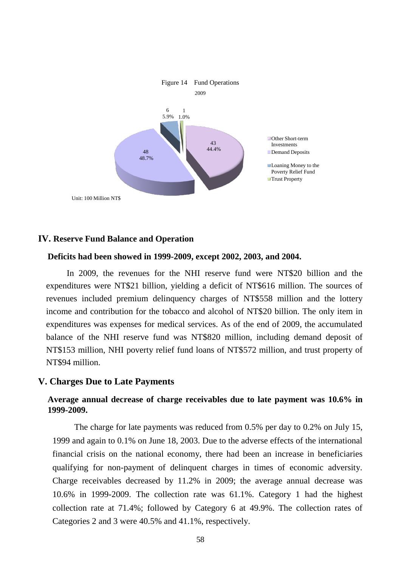

# **IV. Reserve Fund Balance and Operation**

#### **Deficits had been showed in 1999-2009, except 2002, 2003, and 2004.**

In 2009, the revenues for the NHI reserve fund were NT\$20 billion and the expenditures were NT\$21 billion, yielding a deficit of NT\$616 million. The sources of revenues included premium delinquency charges of NT\$558 million and the lottery income and contribution for the tobacco and alcohol of NT\$20 billion. The only item in expenditures was expenses for medical services. As of the end of 2009, the accumulated balance of the NHI reserve fund was NT\$820 million, including demand deposit of NT\$153 million, NHI poverty relief fund loans of NT\$572 million, and trust property of NT\$94 million.

# **V. Charges Due to Late Payments**

# **Average annual decrease of charge receivables due to late payment was 10.6% in 1999-2009.**

The charge for late payments was reduced from 0.5% per day to 0.2% on July 15, 1999 and again to 0.1% on June 18, 2003. Due to the adverse effects of the international financial crisis on the national economy, there had been an increase in beneficiaries qualifying for non-payment of delinquent charges in times of economic adversity. Charge receivables decreased by 11.2% in 2009; the average annual decrease was 10.6% in 1999-2009. The collection rate was 61.1%. Category 1 had the highest collection rate at 71.4%; followed by Category 6 at 49.9%. The collection rates of Categories 2 and 3 were 40.5% and 41.1%, respectively.